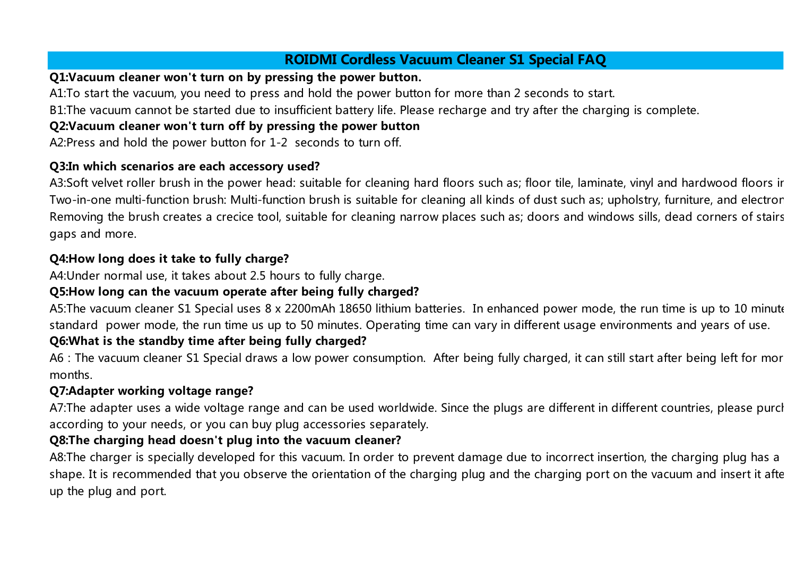# **ROIDMI Cordless Vacuum Cleaner S1 Special FAQ**

#### **Q1:Vacuum cleaner won't turn on by pressing the power button.**

A1:To start the vacuum, you need to press and hold the power button for more than 2 seconds to start.

B1:The vacuum cannot be started due to insufficient battery life. Please recharge and try after the charging is complete.

### **Q2:Vacuum cleaner won't turn off by pressing the power button**

A2:Press and hold the power button for 1-2 seconds to turn off.

#### **Q3:In which scenarios are each accessory used?**

A3:Soft velvet roller brush in the power head: suitable for cleaning hard floors such as; floor tile, laminate, vinyl and hardwood floors ir Two-in-one multi-function brush: Multi-function brush is suitable for cleaning all kinds of dust such as; upholstry, furniture, and electror Removing the brush creates a crecice tool, suitable for cleaning narrow places such as; doors and windows sills, dead corners of stairs gaps and more.

## **Q4:How long does it take to fully charge?**

A4:Under normal use, it takes about 2.5 hours to fully charge.

## **Q5:How long can the vacuum operate after being fully charged?**

A5:The vacuum cleaner S1 Special uses 8 x 2200mAh 18650 lithium batteries. In enhanced power mode, the run time is up to 10 minute standard power mode, the run time us up to 50 minutes. Operating time can vary in different usage environments and years of use. **Q6:What is the standby time after being fully charged?**

A6: The vacuum cleaner S1 Special draws a low power consumption. After being fully charged, it can still start after being left for mor months.

## **Q7:Adapter working voltage range?**

A7: The adapter uses a wide voltage range and can be used worldwide. Since the plugs are different in different countries, please purch according to your needs, or you can buy plug accessories separately.

## **Q8:The charging head doesn't plug into the vacuum cleaner?**

A8:The charger is specially developed for this vacuum. In order to prevent damage due to incorrect insertion, the charging plug has a shape. It is recommended that you observe the orientation of the charging plug and the charging port on the vacuum and insert it after up the plug and port.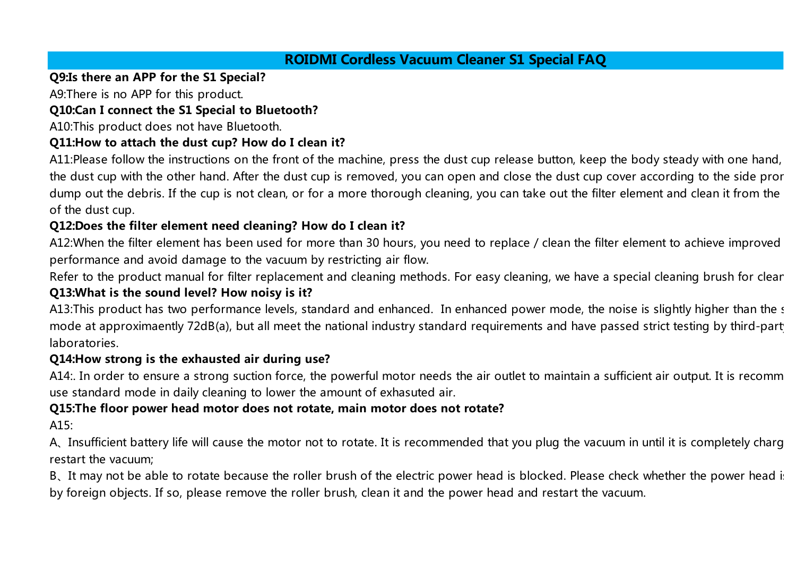# **ROIDMI Cordless Vacuum Cleaner S1 Special FAQ**

### **Q9:Is there an APP for the S1 Special?**

A9:There is no APP for this product.

## **Q10:Can I connect the S1 Special to Bluetooth?**

A10:This product does not have Bluetooth.

### **Q11:How to attach the dust cup? How do I clean it?**

A11:Please follow the instructions on the front of the machine, press the dust cup release button, keep the body steady with one hand, the dust cup with the other hand. After the dust cup is removed, you can open and close the dust cup cover according to the side pror dump out the debris. If the cup is not clean, or for a more thorough cleaning, you can take out the filter element and clean it from the of the dust cup.

## **Q12:Does the filter element need cleaning? How do I clean it?**

A12:When the filter element has been used for more than 30 hours, you need to replace / clean the filter element to achieve improved performance and avoid damage to the vacuum by restricting air flow.

Refer to the product manual for filter replacement and cleaning methods. For easy cleaning, we have a special cleaning brush for clear

#### **Q13:What is the sound level? How noisy is it?**

A13:This product has two performance levels, standard and enhanced. In enhanced power mode, the noise is slightly higher than the standard and enhanced. In enhanced power mode, the noise is slightly higher than the standar mode at approximaently 72dB(a), but all meet the national industry standard requirements and have passed strict testing by third-party laboratories.

#### **Q14:How strong is the exhausted air during use?**

A14:. In order to ensure a strong suction force, the powerful motor needs the air outlet to maintain a sufficient air output. It is recomm use standard mode in daily cleaning to lower the amount of exhasuted air.

## **Q15:The floor power head motor does not rotate, main motor does not rotate?**

A15:

A. Insufficient battery life will cause the motor not to rotate. It is recommended that you plug the vacuum in until it is completely charged and restart the vacuum;

B. It may not be able to rotate because the roller brush of the electric power head is blocked. Please check whether the power head is by foreign objects. If so, please remove the roller brush, clean it and the power head and restart the vacuum.